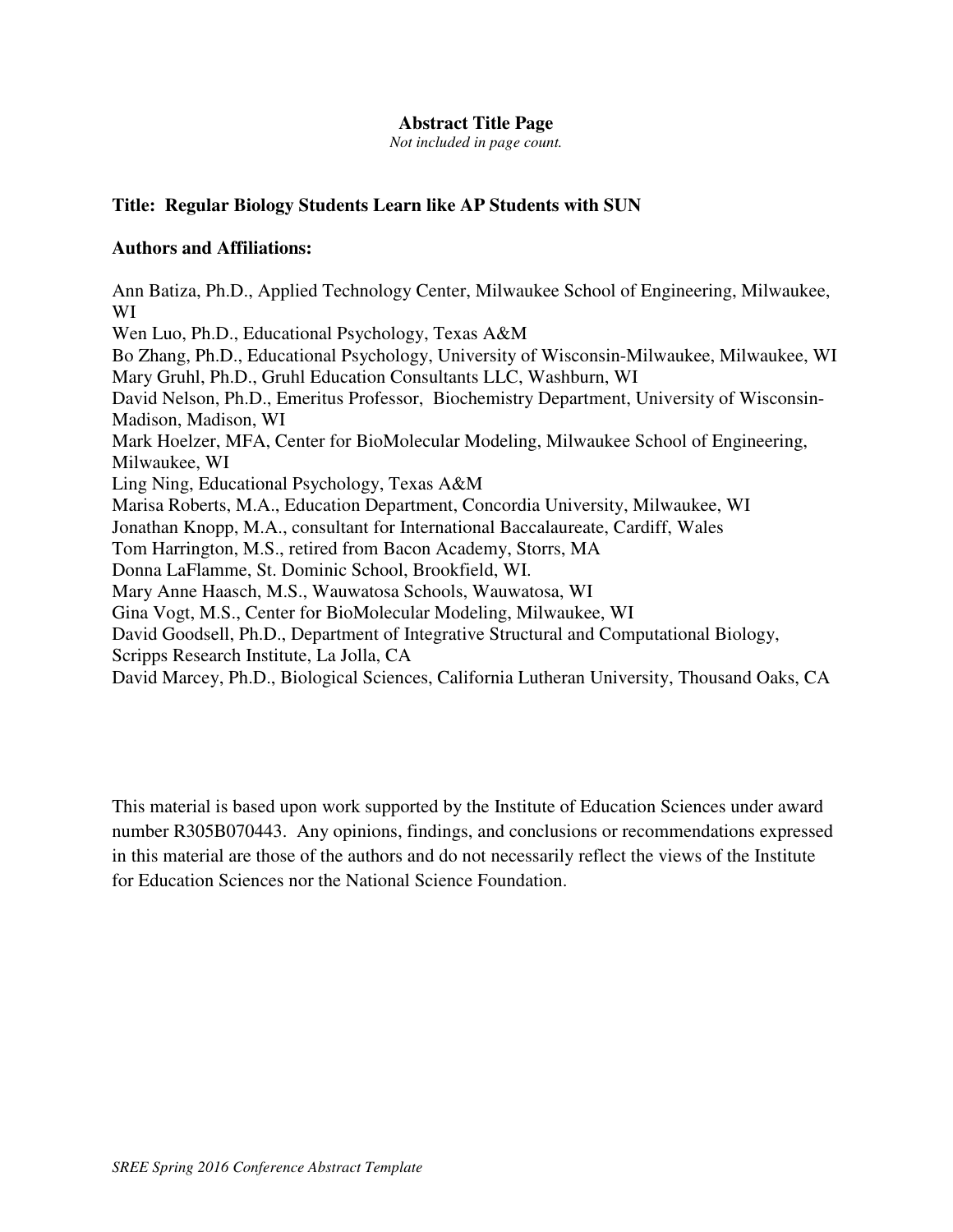## **Abstract Title Page**

*Not included in page count.* 

# **Title: Regular Biology Students Learn like AP Students with SUN**

## **Authors and Affiliations:**

Ann Batiza, Ph.D., Applied Technology Center, Milwaukee School of Engineering, Milwaukee, WI Wen Luo, Ph.D., Educational Psychology, Texas A&M Bo Zhang, Ph.D., Educational Psychology, University of Wisconsin-Milwaukee, Milwaukee, WI Mary Gruhl, Ph.D., Gruhl Education Consultants LLC, Washburn, WI David Nelson, Ph.D., Emeritus Professor, Biochemistry Department, University of Wisconsin-Madison, Madison, WI Mark Hoelzer, MFA, Center for BioMolecular Modeling, Milwaukee School of Engineering, Milwaukee, WI Ling Ning, Educational Psychology, Texas A&M Marisa Roberts, M.A., Education Department, Concordia University, Milwaukee, WI Jonathan Knopp, M.A., consultant for International Baccalaureate, Cardiff, Wales Tom Harrington, M.S., retired from Bacon Academy, Storrs, MA Donna LaFlamme, St. Dominic School, Brookfield, WI. Mary Anne Haasch, M.S., Wauwatosa Schools, Wauwatosa, WI Gina Vogt, M.S., Center for BioMolecular Modeling, Milwaukee, WI David Goodsell, Ph.D., Department of Integrative Structural and Computational Biology, Scripps Research Institute, La Jolla, CA David Marcey, Ph.D., Biological Sciences, California Lutheran University, Thousand Oaks, CA

This material is based upon work supported by the Institute of Education Sciences under award number R305B070443. Any opinions, findings, and conclusions or recommendations expressed in this material are those of the authors and do not necessarily reflect the views of the Institute for Education Sciences nor the National Science Foundation.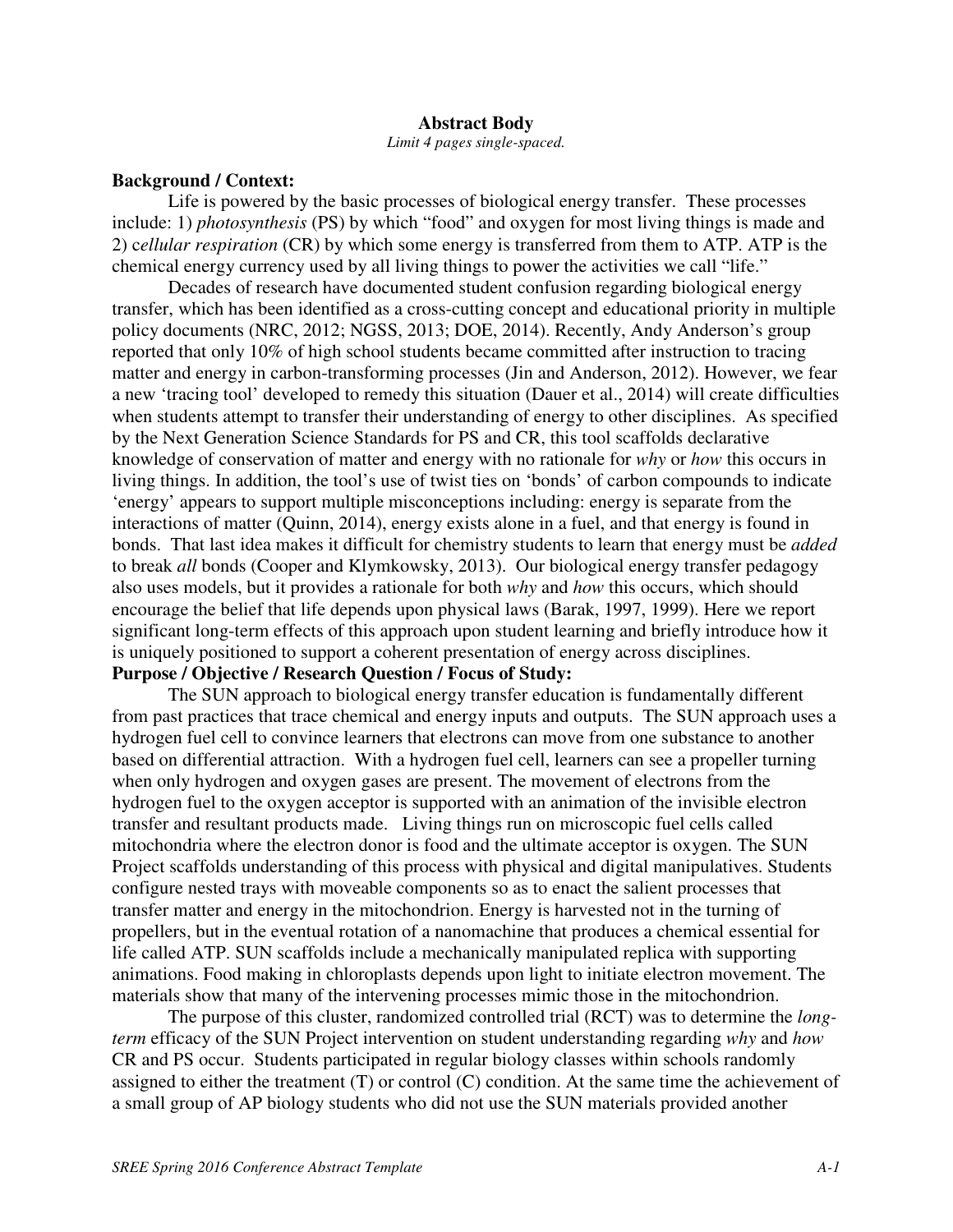#### **Abstract Body**

*Limit 4 pages single-spaced.* 

#### **Background / Context:**

Life is powered by the basic processes of biological energy transfer. These processes include: 1) *photosynthesis* (PS) by which "food" and oxygen for most living things is made and 2) c*ellular respiration* (CR) by which some energy is transferred from them to ATP. ATP is the chemical energy currency used by all living things to power the activities we call "life."

 Decades of research have documented student confusion regarding biological energy transfer, which has been identified as a cross-cutting concept and educational priority in multiple policy documents (NRC, 2012; NGSS, 2013; DOE, 2014). Recently, Andy Anderson's group reported that only 10% of high school students became committed after instruction to tracing matter and energy in carbon-transforming processes (Jin and Anderson, 2012). However, we fear a new 'tracing tool' developed to remedy this situation (Dauer et al., 2014) will create difficulties when students attempt to transfer their understanding of energy to other disciplines. As specified by the Next Generation Science Standards for PS and CR, this tool scaffolds declarative knowledge of conservation of matter and energy with no rationale for *why* or *how* this occurs in living things. In addition, the tool's use of twist ties on 'bonds' of carbon compounds to indicate 'energy' appears to support multiple misconceptions including: energy is separate from the interactions of matter (Quinn, 2014), energy exists alone in a fuel, and that energy is found in bonds. That last idea makes it difficult for chemistry students to learn that energy must be *added* to break *all* bonds (Cooper and Klymkowsky, 2013). Our biological energy transfer pedagogy also uses models, but it provides a rationale for both *why* and *how* this occurs, which should encourage the belief that life depends upon physical laws (Barak, 1997, 1999). Here we report significant long-term effects of this approach upon student learning and briefly introduce how it is uniquely positioned to support a coherent presentation of energy across disciplines. **Purpose / Objective / Research Question / Focus of Study:**

The SUN approach to biological energy transfer education is fundamentally different from past practices that trace chemical and energy inputs and outputs. The SUN approach uses a hydrogen fuel cell to convince learners that electrons can move from one substance to another based on differential attraction. With a hydrogen fuel cell, learners can see a propeller turning when only hydrogen and oxygen gases are present. The movement of electrons from the hydrogen fuel to the oxygen acceptor is supported with an animation of the invisible electron transfer and resultant products made. Living things run on microscopic fuel cells called mitochondria where the electron donor is food and the ultimate acceptor is oxygen. The SUN Project scaffolds understanding of this process with physical and digital manipulatives. Students configure nested trays with moveable components so as to enact the salient processes that transfer matter and energy in the mitochondrion. Energy is harvested not in the turning of propellers, but in the eventual rotation of a nanomachine that produces a chemical essential for life called ATP. SUN scaffolds include a mechanically manipulated replica with supporting animations. Food making in chloroplasts depends upon light to initiate electron movement. The materials show that many of the intervening processes mimic those in the mitochondrion.

The purpose of this cluster, randomized controlled trial (RCT) was to determine the *longterm* efficacy of the SUN Project intervention on student understanding regarding *why* and *how* CR and PS occur. Students participated in regular biology classes within schools randomly assigned to either the treatment (T) or control (C) condition. At the same time the achievement of a small group of AP biology students who did not use the SUN materials provided another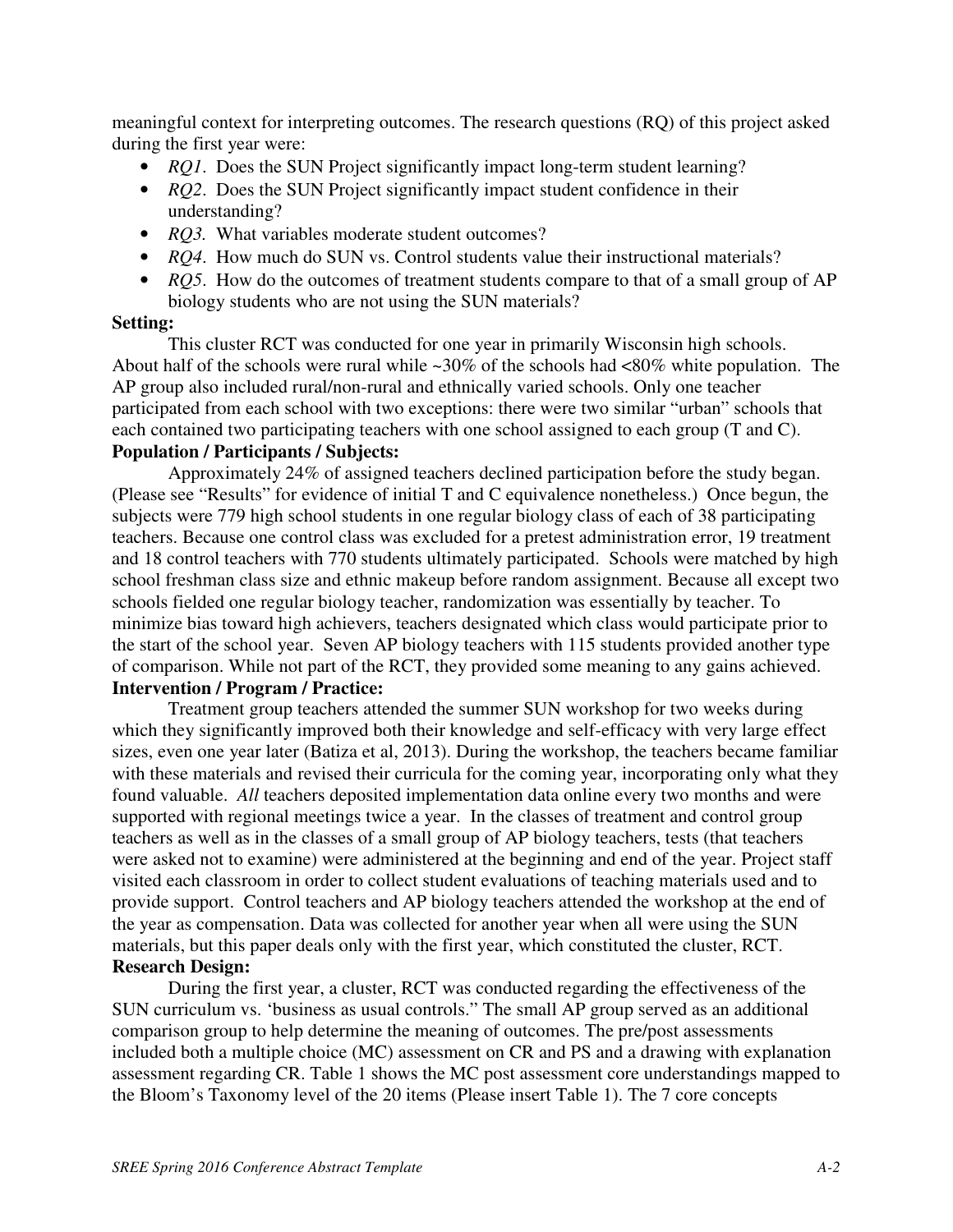meaningful context for interpreting outcomes. The research questions (RQ) of this project asked during the first year were:

- *RQ1*. Does the SUN Project significantly impact long-term student learning?
- *RQ2*. Does the SUN Project significantly impact student confidence in their understanding?
- *RQ3*. What variables moderate student outcomes?
- *RQ4*. How much do SUN vs. Control students value their instructional materials?
- *RQ5*. How do the outcomes of treatment students compare to that of a small group of AP biology students who are not using the SUN materials?

## **Setting:**

This cluster RCT was conducted for one year in primarily Wisconsin high schools. About half of the schools were rural while  $\sim 30\%$  of the schools had  $\langle 80\%$  white population. The AP group also included rural/non-rural and ethnically varied schools. Only one teacher participated from each school with two exceptions: there were two similar "urban" schools that each contained two participating teachers with one school assigned to each group (T and C). **Population / Participants / Subjects:**

Approximately 24% of assigned teachers declined participation before the study began. (Please see "Results" for evidence of initial T and C equivalence nonetheless.) Once begun, the subjects were 779 high school students in one regular biology class of each of 38 participating teachers. Because one control class was excluded for a pretest administration error, 19 treatment and 18 control teachers with 770 students ultimately participated. Schools were matched by high school freshman class size and ethnic makeup before random assignment. Because all except two schools fielded one regular biology teacher, randomization was essentially by teacher. To minimize bias toward high achievers, teachers designated which class would participate prior to the start of the school year. Seven AP biology teachers with 115 students provided another type of comparison. While not part of the RCT, they provided some meaning to any gains achieved. **Intervention / Program / Practice:**

Treatment group teachers attended the summer SUN workshop for two weeks during which they significantly improved both their knowledge and self-efficacy with very large effect sizes, even one year later (Batiza et al, 2013). During the workshop, the teachers became familiar with these materials and revised their curricula for the coming year, incorporating only what they found valuable. *All* teachers deposited implementation data online every two months and were supported with regional meetings twice a year. In the classes of treatment and control group teachers as well as in the classes of a small group of AP biology teachers, tests (that teachers were asked not to examine) were administered at the beginning and end of the year. Project staff visited each classroom in order to collect student evaluations of teaching materials used and to provide support. Control teachers and AP biology teachers attended the workshop at the end of the year as compensation. Data was collected for another year when all were using the SUN materials, but this paper deals only with the first year, which constituted the cluster, RCT. **Research Design:**

During the first year, a cluster, RCT was conducted regarding the effectiveness of the SUN curriculum vs. 'business as usual controls." The small AP group served as an additional comparison group to help determine the meaning of outcomes. The pre/post assessments included both a multiple choice (MC) assessment on CR and PS and a drawing with explanation assessment regarding CR. Table 1 shows the MC post assessment core understandings mapped to the Bloom's Taxonomy level of the 20 items (Please insert Table 1). The 7 core concepts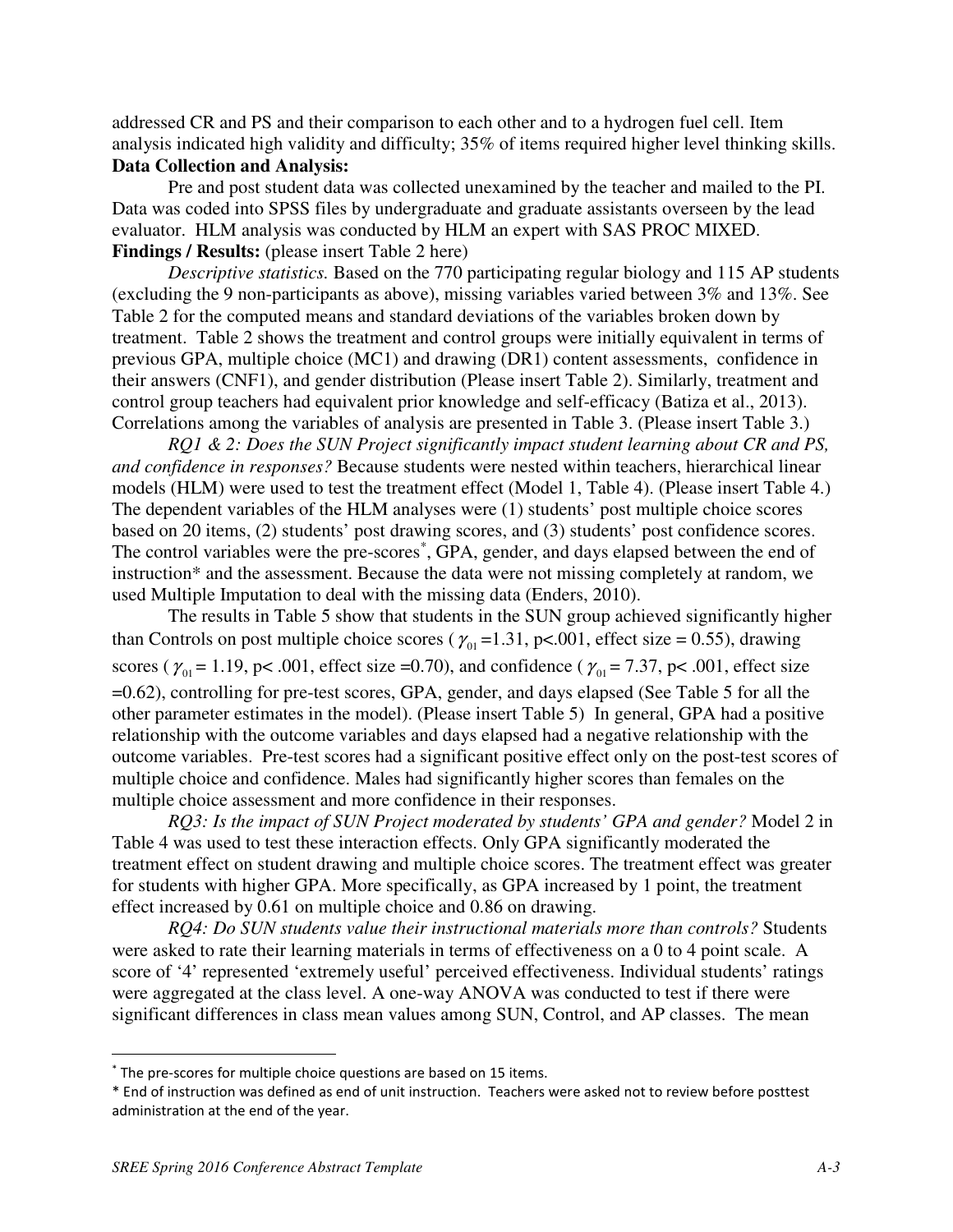addressed CR and PS and their comparison to each other and to a hydrogen fuel cell. Item analysis indicated high validity and difficulty; 35% of items required higher level thinking skills. **Data Collection and Analysis:**

Pre and post student data was collected unexamined by the teacher and mailed to the PI. Data was coded into SPSS files by undergraduate and graduate assistants overseen by the lead evaluator. HLM analysis was conducted by HLM an expert with SAS PROC MIXED. **Findings / Results:** (please insert Table 2 here)

*Descriptive statistics.* Based on the 770 participating regular biology and 115 AP students (excluding the 9 non-participants as above), missing variables varied between 3% and 13%. See Table 2 for the computed means and standard deviations of the variables broken down by treatment. Table 2 shows the treatment and control groups were initially equivalent in terms of previous GPA, multiple choice (MC1) and drawing (DR1) content assessments, confidence in their answers (CNF1), and gender distribution (Please insert Table 2). Similarly, treatment and control group teachers had equivalent prior knowledge and self-efficacy (Batiza et al., 2013). Correlations among the variables of analysis are presented in Table 3. (Please insert Table 3.)

*RQ1 & 2: Does the SUN Project significantly impact student learning about CR and PS, and confidence in responses?* Because students were nested within teachers, hierarchical linear models (HLM) were used to test the treatment effect (Model 1, Table 4). (Please insert Table 4.) The dependent variables of the HLM analyses were (1) students' post multiple choice scores based on 20 items, (2) students' post drawing scores, and (3) students' post confidence scores. The control variables were the pre-scores<sup>\*</sup>, GPA, gender, and days elapsed between the end of instruction\* and the assessment. Because the data were not missing completely at random, we used Multiple Imputation to deal with the missing data (Enders, 2010).

The results in Table 5 show that students in the SUN group achieved significantly higher than Controls on post multiple choice scores ( $\gamma_{01}$  = 1.31, p<.001, effect size = 0.55), drawing scores ( $\gamma_{01}$  = 1.19, p< .001, effect size =0.70), and confidence ( $\gamma_{01}$  = 7.37, p< .001, effect size =0.62), controlling for pre-test scores, GPA, gender, and days elapsed (See Table 5 for all the other parameter estimates in the model). (Please insert Table 5) In general, GPA had a positive relationship with the outcome variables and days elapsed had a negative relationship with the outcome variables. Pre-test scores had a significant positive effect only on the post-test scores of multiple choice and confidence. Males had significantly higher scores than females on the multiple choice assessment and more confidence in their responses.

*RQ3: Is the impact of SUN Project moderated by students' GPA and gender?* Model 2 in Table 4 was used to test these interaction effects. Only GPA significantly moderated the treatment effect on student drawing and multiple choice scores. The treatment effect was greater for students with higher GPA. More specifically, as GPA increased by 1 point, the treatment effect increased by 0.61 on multiple choice and 0.86 on drawing.

*RQ4: Do SUN students value their instructional materials more than controls?* Students were asked to rate their learning materials in terms of effectiveness on a 0 to 4 point scale. A score of '4' represented 'extremely useful' perceived effectiveness. Individual students' ratings were aggregated at the class level. A one-way ANOVA was conducted to test if there were significant differences in class mean values among SUN, Control, and AP classes. The mean

 $\overline{a}$ 

<sup>\*</sup> The pre-scores for multiple choice questions are based on 15 items.

<sup>\*</sup> End of instruction was defined as end of unit instruction. Teachers were asked not to review before posttest administration at the end of the year.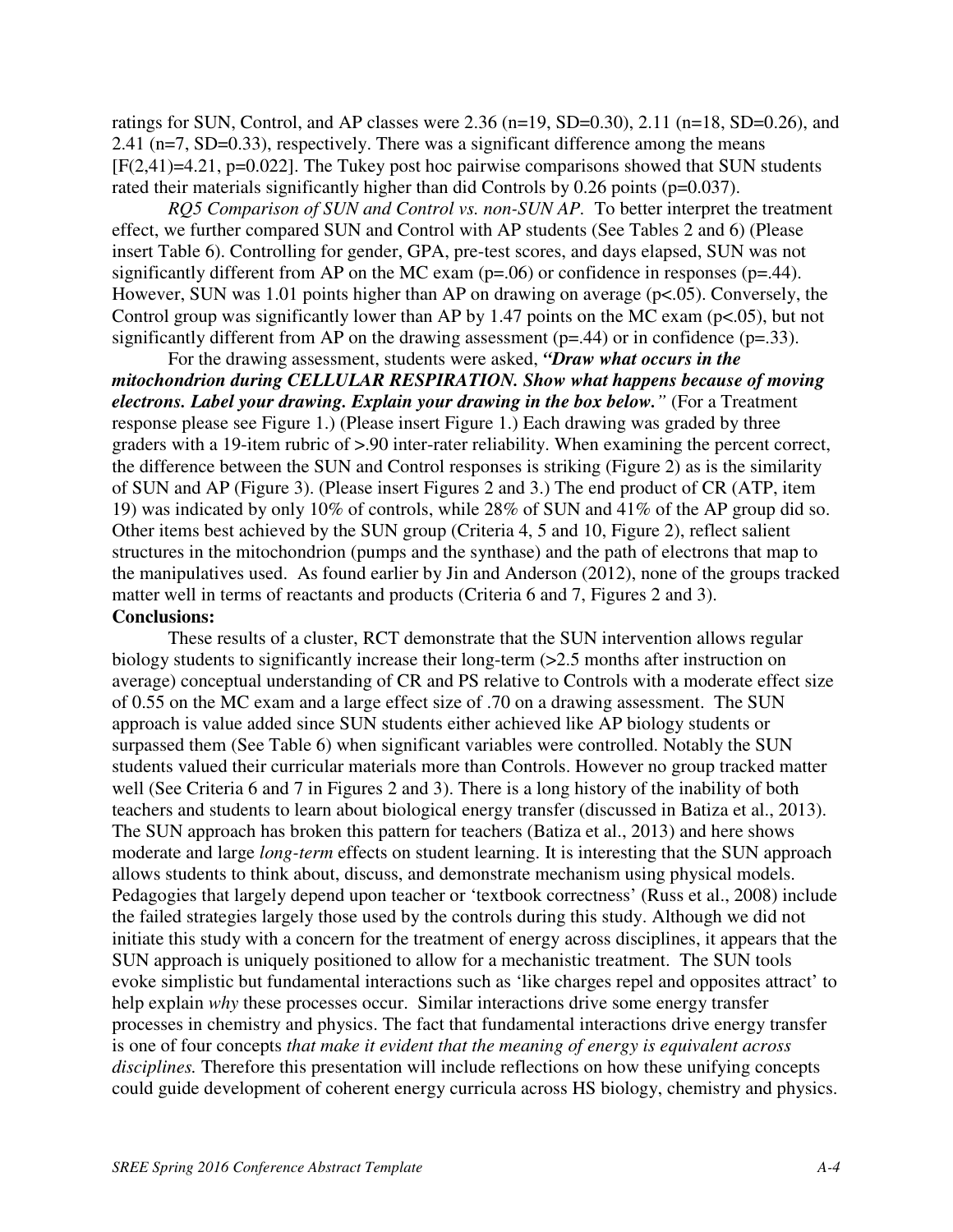ratings for SUN, Control, and AP classes were  $2.36$  (n=19, SD=0.30),  $2.11$  (n=18, SD=0.26), and 2.41 (n=7, SD=0.33), respectively. There was a significant difference among the means [F(2,41)=4.21, p=0.022]. The Tukey post hoc pairwise comparisons showed that SUN students rated their materials significantly higher than did Controls by 0.26 points (p=0.037).

*RQ5 Comparison of SUN and Control vs. non-SUN AP.* To better interpret the treatment effect, we further compared SUN and Control with AP students (See Tables 2 and 6) (Please insert Table 6). Controlling for gender, GPA, pre-test scores, and days elapsed, SUN was not significantly different from AP on the MC exam  $(p=0.06)$  or confidence in responses  $(p=0.44)$ . However, SUN was 1.01 points higher than AP on drawing on average (p<.05). Conversely, the Control group was significantly lower than AP by 1.47 points on the MC exam ( $p<05$ ), but not significantly different from AP on the drawing assessment ( $p=44$ ) or in confidence ( $p=33$ ).

For the drawing assessment, students were asked, *"Draw what occurs in the mitochondrion during CELLULAR RESPIRATION. Show what happens because of moving electrons. Label your drawing. Explain your drawing in the box below."* (For a Treatment response please see Figure 1.) (Please insert Figure 1.) Each drawing was graded by three graders with a 19-item rubric of >.90 inter-rater reliability. When examining the percent correct, the difference between the SUN and Control responses is striking (Figure 2) as is the similarity of SUN and AP (Figure 3). (Please insert Figures 2 and 3.) The end product of CR (ATP, item 19) was indicated by only 10% of controls, while 28% of SUN and 41% of the AP group did so. Other items best achieved by the SUN group (Criteria 4, 5 and 10, Figure 2), reflect salient structures in the mitochondrion (pumps and the synthase) and the path of electrons that map to the manipulatives used. As found earlier by Jin and Anderson (2012), none of the groups tracked matter well in terms of reactants and products (Criteria 6 and 7, Figures 2 and 3). **Conclusions:**

These results of a cluster, RCT demonstrate that the SUN intervention allows regular biology students to significantly increase their long-term (>2.5 months after instruction on average) conceptual understanding of CR and PS relative to Controls with a moderate effect size of 0.55 on the MC exam and a large effect size of .70 on a drawing assessment. The SUN approach is value added since SUN students either achieved like AP biology students or surpassed them (See Table 6) when significant variables were controlled. Notably the SUN students valued their curricular materials more than Controls. However no group tracked matter well (See Criteria 6 and 7 in Figures 2 and 3). There is a long history of the inability of both teachers and students to learn about biological energy transfer (discussed in Batiza et al., 2013). The SUN approach has broken this pattern for teachers (Batiza et al., 2013) and here shows moderate and large *long-term* effects on student learning. It is interesting that the SUN approach allows students to think about, discuss, and demonstrate mechanism using physical models. Pedagogies that largely depend upon teacher or 'textbook correctness' (Russ et al., 2008) include the failed strategies largely those used by the controls during this study. Although we did not initiate this study with a concern for the treatment of energy across disciplines, it appears that the SUN approach is uniquely positioned to allow for a mechanistic treatment. The SUN tools evoke simplistic but fundamental interactions such as 'like charges repel and opposites attract' to help explain *why* these processes occur. Similar interactions drive some energy transfer processes in chemistry and physics. The fact that fundamental interactions drive energy transfer is one of four concepts *that make it evident that the meaning of energy is equivalent across disciplines.* Therefore this presentation will include reflections on how these unifying concepts could guide development of coherent energy curricula across HS biology, chemistry and physics.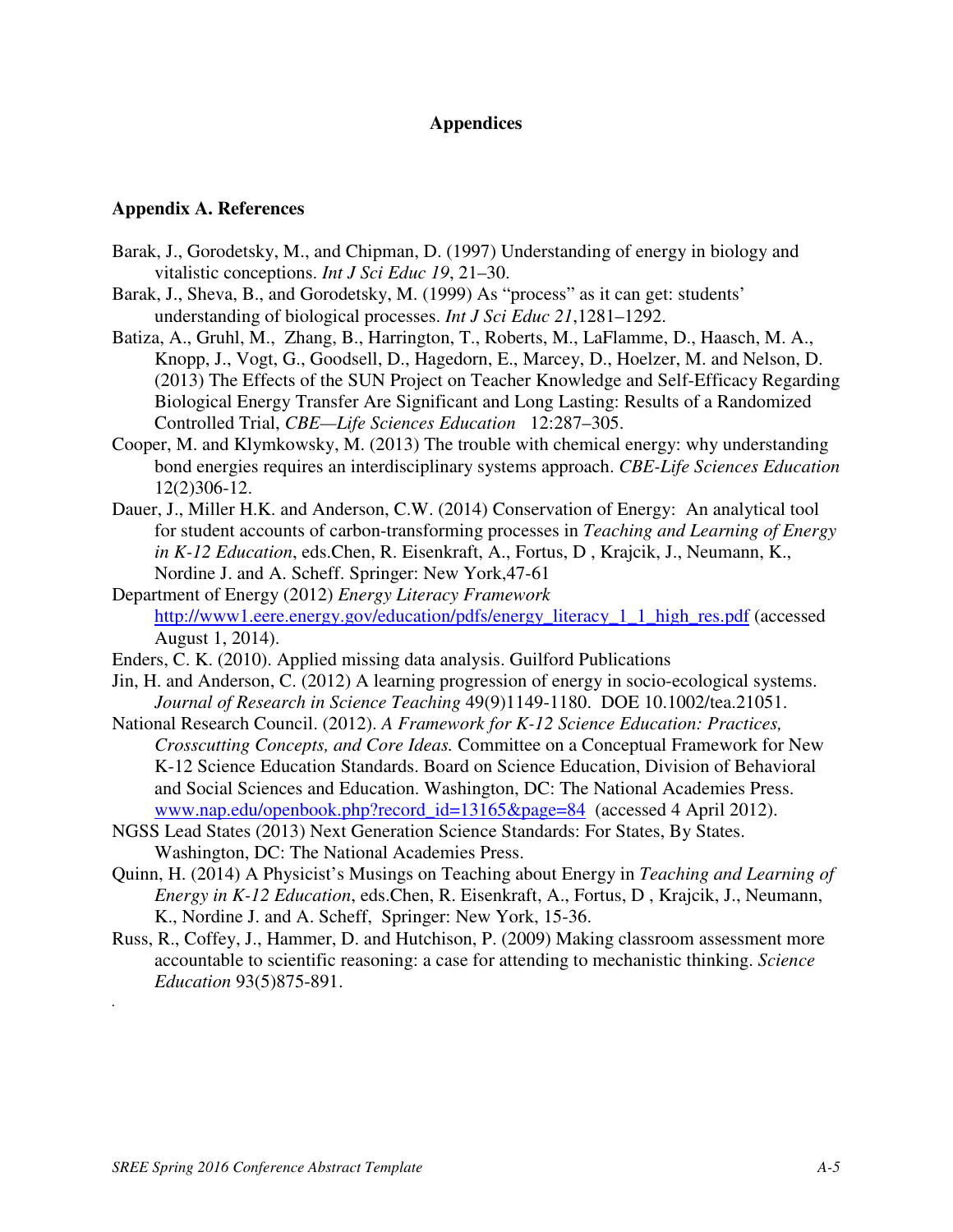## **Appendices**

## **Appendix A. References**

- Barak, J., Gorodetsky, M., and Chipman, D. (1997) Understanding of energy in biology and vitalistic conceptions. *Int J Sci Educ 19*, 21–30.
- Barak, J., Sheva, B., and Gorodetsky, M. (1999) As "process" as it can get: students' understanding of biological processes. *Int J Sci Educ 21*,1281–1292.
- Batiza, A., Gruhl, M., Zhang, B., Harrington, T., Roberts, M., LaFlamme, D., Haasch, M. A., Knopp, J., Vogt, G., Goodsell, D., Hagedorn, E., Marcey, D., Hoelzer, M. and Nelson, D. (2013) The Effects of the SUN Project on Teacher Knowledge and Self-Efficacy Regarding Biological Energy Transfer Are Significant and Long Lasting: Results of a Randomized Controlled Trial, *CBE—Life Sciences Education* 12:287–305.
- Cooper, M. and Klymkowsky, M. (2013) The trouble with chemical energy: why understanding bond energies requires an interdisciplinary systems approach. *CBE-Life Sciences Education* 12(2)306-12.
- Dauer, J., Miller H.K. and Anderson, C.W. (2014) Conservation of Energy: An analytical tool for student accounts of carbon-transforming processes in *Teaching and Learning of Energy in K-12 Education*, eds.Chen, R. Eisenkraft, A., Fortus, D , Krajcik, J., Neumann, K., Nordine J. and A. Scheff. Springer: New York,47-61
- Department of Energy (2012) *Energy Literacy Framework* http://www1.eere.energy.gov/education/pdfs/energy\_literacy\_1\_1\_high\_res.pdf (accessed August 1, 2014).
- Enders, C. K. (2010). Applied missing data analysis. Guilford Publications
- Jin, H. and Anderson, C. (2012) A learning progression of energy in socio-ecological systems. *Journal of Research in Science Teaching* 49(9)1149-1180. DOE 10.1002/tea.21051.
- National Research Council. (2012). *A Framework for K-12 Science Education: Practices, Crosscutting Concepts, and Core Ideas.* Committee on a Conceptual Framework for New K-12 Science Education Standards. Board on Science Education, Division of Behavioral and Social Sciences and Education. Washington, DC: The National Academies Press. www.nap.edu/openbook.php?record\_id=13165&page=84 (accessed 4 April 2012).
- NGSS Lead States (2013) Next Generation Science Standards: For States, By States. Washington, DC: The National Academies Press.
- Quinn, H. (2014) A Physicist's Musings on Teaching about Energy in *Teaching and Learning of Energy in K-12 Education*, eds.Chen, R. Eisenkraft, A., Fortus, D , Krajcik, J., Neumann, K., Nordine J. and A. Scheff, Springer: New York, 15-36.
- Russ, R., Coffey, J., Hammer, D. and Hutchison, P. (2009) Making classroom assessment more accountable to scientific reasoning: a case for attending to mechanistic thinking. *Science Education* 93(5)875-891.

*.*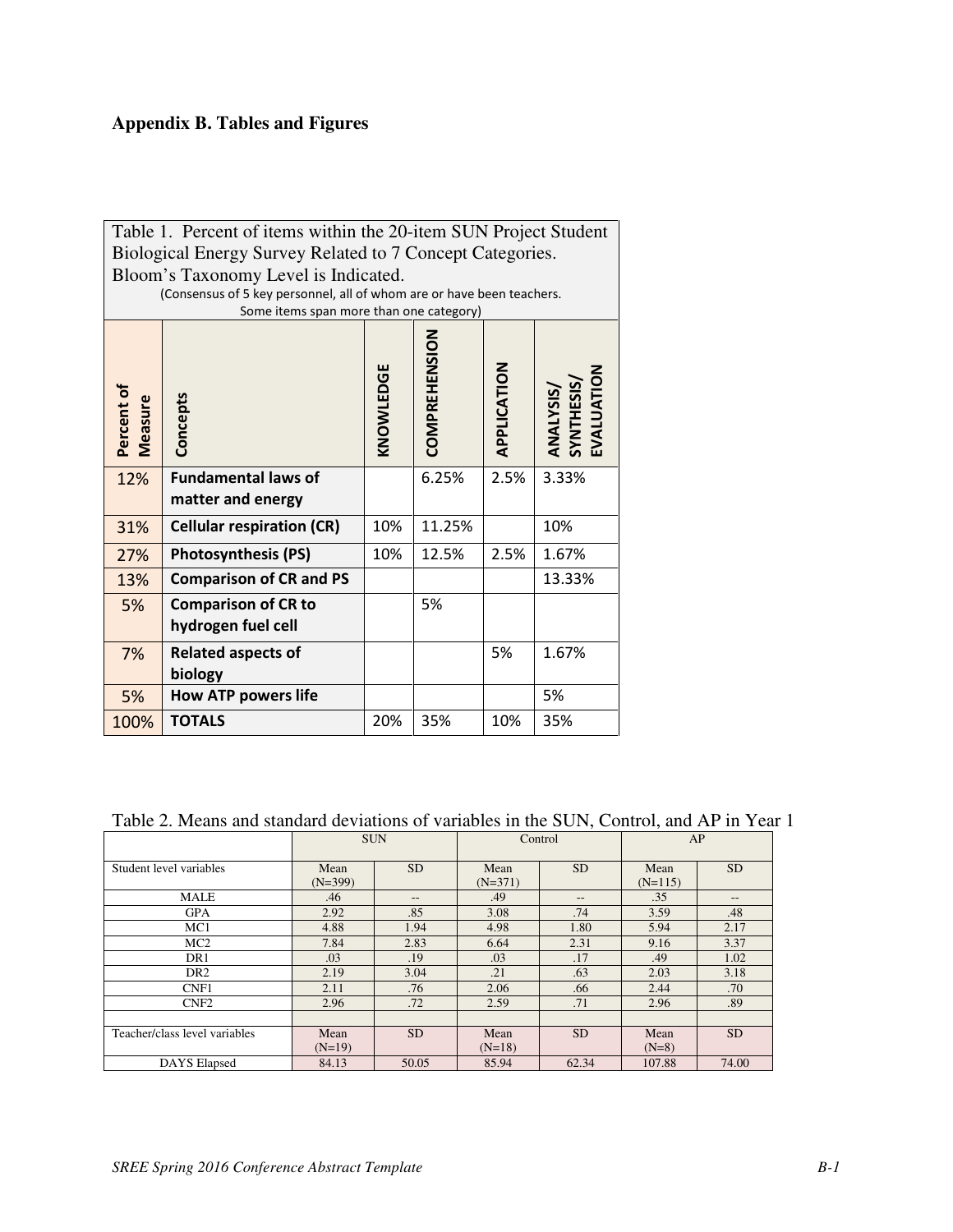# **Appendix B. Tables and Figures**

| Table 1. Percent of items within the 20-item SUN Project Student |                                                                                                                  |     |        |      |       |  |  |  |
|------------------------------------------------------------------|------------------------------------------------------------------------------------------------------------------|-----|--------|------|-------|--|--|--|
|                                                                  | Biological Energy Survey Related to 7 Concept Categories.                                                        |     |        |      |       |  |  |  |
|                                                                  | Bloom's Taxonomy Level is Indicated.                                                                             |     |        |      |       |  |  |  |
|                                                                  | (Consensus of 5 key personnel, all of whom are or have been teachers.<br>Some items span more than one category) |     |        |      |       |  |  |  |
| Percent of<br>Measure                                            | COMPREHENSION<br>APPLICATION<br>KNOWLEDGE<br><b>ANALYSIS/<br/>SYNTHESIS/<br/>EVALUATION</b><br>Concepts          |     |        |      |       |  |  |  |
| 12%                                                              | <b>Fundamental laws of</b><br>matter and energy                                                                  |     | 6.25%  | 2.5% | 3.33% |  |  |  |
| 31%                                                              | <b>Cellular respiration (CR)</b>                                                                                 | 10% | 11.25% |      | 10%   |  |  |  |
| 27%                                                              | <b>Photosynthesis (PS)</b>                                                                                       | 10% | 12.5%  | 2.5% | 1.67% |  |  |  |
| 13%                                                              | <b>Comparison of CR and PS</b><br>13.33%                                                                         |     |        |      |       |  |  |  |
| 5%                                                               | <b>Comparison of CR to</b><br>5%<br>hydrogen fuel cell                                                           |     |        |      |       |  |  |  |
| 7%                                                               | <b>Related aspects of</b><br>biology                                                                             |     |        | 5%   | 1.67% |  |  |  |
| 5%                                                               | <b>How ATP powers life</b>                                                                                       |     |        |      | 5%    |  |  |  |
| 100%                                                             | <b>TOTALS</b>                                                                                                    | 20% | 35%    | 10%  | 35%   |  |  |  |

Table 2. Means and standard deviations of variables in the SUN, Control, and AP in Year 1

|                               | <b>SUN</b>        |                   | Control           |           | AP                |           |
|-------------------------------|-------------------|-------------------|-------------------|-----------|-------------------|-----------|
| Student level variables       | Mean<br>$(N=399)$ | <b>SD</b>         | Mean<br>$(N=371)$ | <b>SD</b> | Mean<br>$(N=115)$ | <b>SD</b> |
| <b>MALE</b>                   | .46               | $\qquad \qquad -$ | .49               | $- -$     | .35               | $-$       |
| <b>GPA</b>                    | 2.92              | .85               | 3.08              | .74       | 3.59              | .48       |
| MC1                           | 4.88              | 1.94              | 4.98              | 1.80      | 5.94              | 2.17      |
| MC2                           | 7.84              | 2.83              | 6.64              | 2.31      | 9.16              | 3.37      |
| DR1                           | .03               | .19               | .03               | .17       | .49               | 1.02      |
| DR <sub>2</sub>               | 2.19              | 3.04              | .21               | .63       | 2.03              | 3.18      |
| CNF1                          | 2.11              | .76               | 2.06              | .66       | 2.44              | .70       |
| CNF <sub>2</sub>              | 2.96              | .72               | 2.59              | .71       | 2.96              | .89       |
|                               |                   |                   |                   |           |                   |           |
| Teacher/class level variables | Mean<br>$(N=19)$  | <b>SD</b>         | Mean<br>$(N=18)$  | <b>SD</b> | Mean<br>$(N=8)$   | <b>SD</b> |
| DAYS Elapsed                  | 84.13             | 50.05             | 85.94             | 62.34     | 107.88            | 74.00     |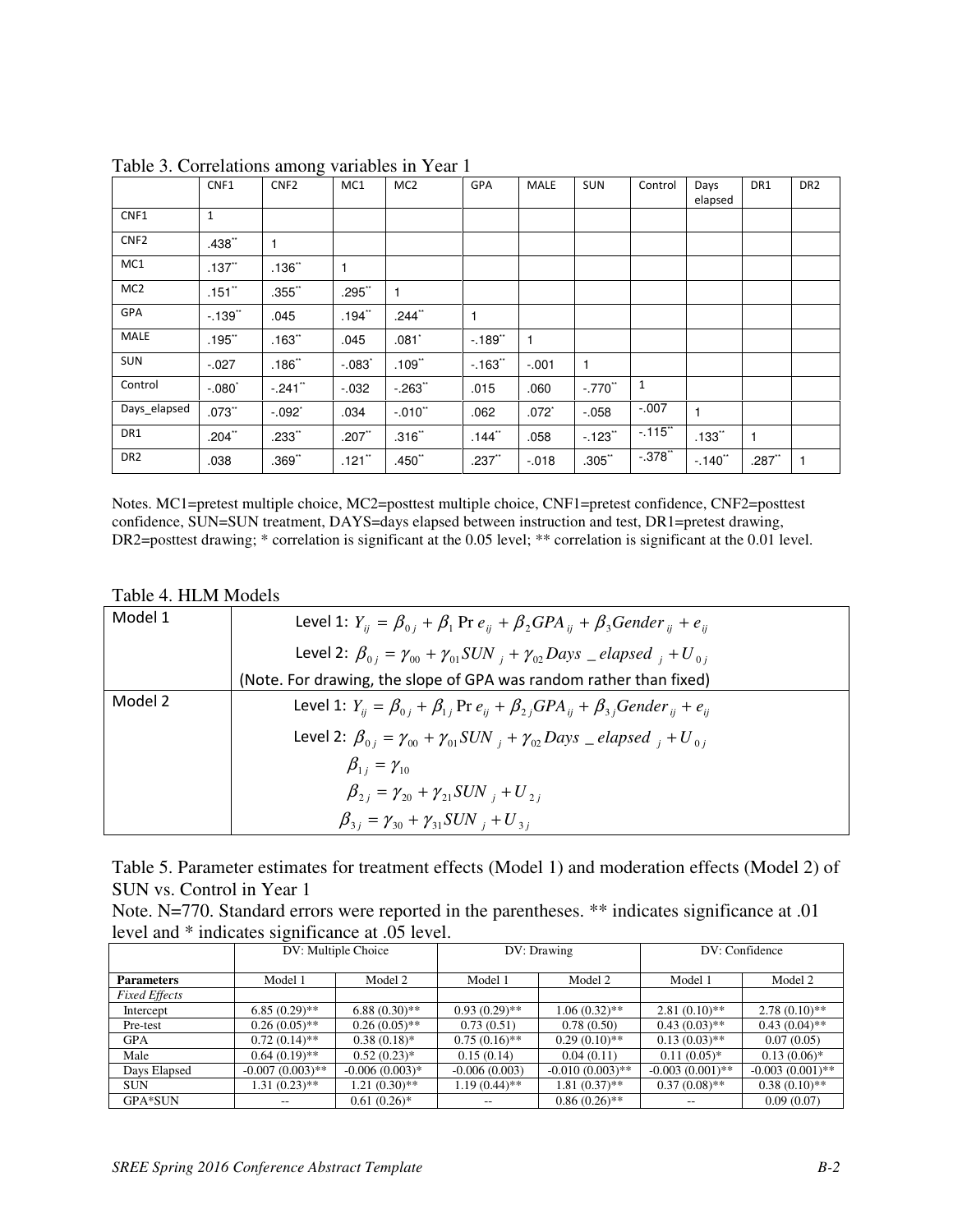|                  | CNF1                 | $\circ$<br>CNF <sub>2</sub> | MC1                  | MC <sub>2</sub> | GPA      | <b>MALE</b>  | SUN                   | Control      | Days<br>elapsed      | DR1          | DR <sub>2</sub> |
|------------------|----------------------|-----------------------------|----------------------|-----------------|----------|--------------|-----------------------|--------------|----------------------|--------------|-----------------|
| CNF1             | $\mathbf{1}$         |                             |                      |                 |          |              |                       |              |                      |              |                 |
| CNF <sub>2</sub> | .438"                | 1                           |                      |                 |          |              |                       |              |                      |              |                 |
| MC1              | $.137$ <sup>**</sup> | .136"                       | 1                    |                 |          |              |                       |              |                      |              |                 |
| MC <sub>2</sub>  | $.151$ **            | $.355$ <sup>**</sup>        | $.295$ "             | 1               |          |              |                       |              |                      |              |                 |
| GPA              | $-139"$              | .045                        | $.194$ **            | .244"           | 1        |              |                       |              |                      |              |                 |
| MALE             | $.195$ **            | .163"                       | .045                 | $.081*$         | $-.189"$ | $\mathbf{1}$ |                       |              |                      |              |                 |
| SUN              | $-0.027$             | .186"                       | $-.083"$             | .109"           | $-163"$  | $-.001$      | $\mathbf{1}$          |              |                      |              |                 |
| Control          | $-.080"$             | $-.241"$                    | $-0.032$             | $-0.263$        | .015     | .060         | $-.770$ <sup>**</sup> | $\mathbf{1}$ |                      |              |                 |
| Days_elapsed     | .073"                | $-.092"$                    | .034                 | $-.010"$        | .062     | $.072*$      | $-0.058$              | $-.007$      | $\mathbf{1}$         |              |                 |
| DR1              | $.204$ **            | $.233$ <sup>**</sup>        | $.207$ **            | .316"           | .144"    | .058         | $-123"$               | $-115$       | $.133$ <sup>**</sup> | $\mathbf{1}$ |                 |
| DR <sub>2</sub>  | .038                 | .369"                       | $.121$ <sup>**</sup> | $.450$ **       | $.237$ " | $-0.018$     | .305"                 | $-0.378$     | $-.140"$             | $.287$ "     |                 |

Table 3. Correlations among variables in Year 1

Notes. MC1=pretest multiple choice, MC2=posttest multiple choice, CNF1=pretest confidence, CNF2=posttest confidence, SUN=SUN treatment, DAYS=days elapsed between instruction and test, DR1=pretest drawing, DR2=posttest drawing; \* correlation is significant at the 0.05 level; \*\* correlation is significant at the 0.01 level.

## Table 4. HLM Models

| Model 1 | Level 1: $Y_{ii} = \beta_{0i} + \beta_1$ Pr $e_{ii} + \beta_2 GPA_{ii} + \beta_3 Gender_{ii} + e_{ii}$          |
|---------|-----------------------------------------------------------------------------------------------------------------|
|         | Level 2: $\beta_{0i} = \gamma_{00} + \gamma_{01} SUN_i + \gamma_{02} Days \_ elapsed_i + U_{0i}$                |
|         | (Note. For drawing, the slope of GPA was random rather than fixed)                                              |
| Model 2 | Level 1: $Y_{ii} = \beta_{0i} + \beta_{1i}$ Pr $e_{ii} + \beta_{2i} GPA_{ii} + \beta_{3i} Gender_{ii} + e_{ii}$ |
|         | Level 2: $\beta_{0i} = \gamma_{00} + \gamma_{01} SUN_i + \gamma_{02} Days_i = elapsed_i + U_{0i}$               |
|         | $\beta_{1i} = \gamma_{10}$                                                                                      |
|         | $\beta_{2i} = \gamma_{20} + \gamma_{21} SUN_i + U_{2i}$                                                         |
|         | $\beta_{3i} = \gamma_{30} + \gamma_{31} SUN_i + U_{3i}$                                                         |

Table 5. Parameter estimates for treatment effects (Model 1) and moderation effects (Model 2) of SUN vs. Control in Year 1

| Note. N=770. Standard errors were reported in the parentheses. ** indicates significance at 0.01 |  |
|--------------------------------------------------------------------------------------------------|--|
| level and * indicates significance at .05 level.                                                 |  |

|                      |                    | DV: Multiple Choice | DV: Drawing     |                    | DV: Confidence     |                    |
|----------------------|--------------------|---------------------|-----------------|--------------------|--------------------|--------------------|
| <b>Parameters</b>    | Model 1            | Model 2             | Model 1         | Model 2            | Model 1            | Model 2            |
| <b>Fixed Effects</b> |                    |                     |                 |                    |                    |                    |
| Intercept            | $6.85(0.29)$ **    | $6.88(0.30)$ **     | $0.93(0.29)$ ** | $1.06(0.32)$ **    | $2.81(0.10)$ **    | $2.78(0.10)$ **    |
| Pre-test             | $0.26(0.05)$ **    | $0.26(0.05)$ **     | 0.73(0.51)      | 0.78(0.50)         | $0.43(0.03)$ **    | $0.43(0.04)$ **    |
| <b>GPA</b>           | $0.72(0.14)$ **    | $0.38(0.18)$ *      | $0.75(0.16)$ ** | $0.29(0.10)$ **    | $0.13(0.03)$ **    | 0.07(0.05)         |
| Male                 | $0.64(0.19)$ **    | $0.52(0.23)*$       | 0.15(0.14)      | 0.04(0.11)         | $0.11(0.05)*$      | $0.13(0.06)*$      |
| Days Elapsed         | $-0.007(0.003)$ ** | $-0.006(0.003)*$    | $-0.006(0.003)$ | $-0.010(0.003)$ ** | $-0.003(0.001)$ ** | $-0.003(0.001)$ ** |
| <b>SUN</b>           | $1.31(0.23)$ **    | $1.21(0.30)$ **     | $1.19(0.44)$ ** | $1.81(0.37)$ **    | $0.37(0.08)$ **    | $0.38(0.10)$ **    |
| GPA*SUN              | $- -$              | $0.61(0.26)$ *      | $- -$           | $0.86(0.26)$ **    | $- -$              | 0.09(0.07)         |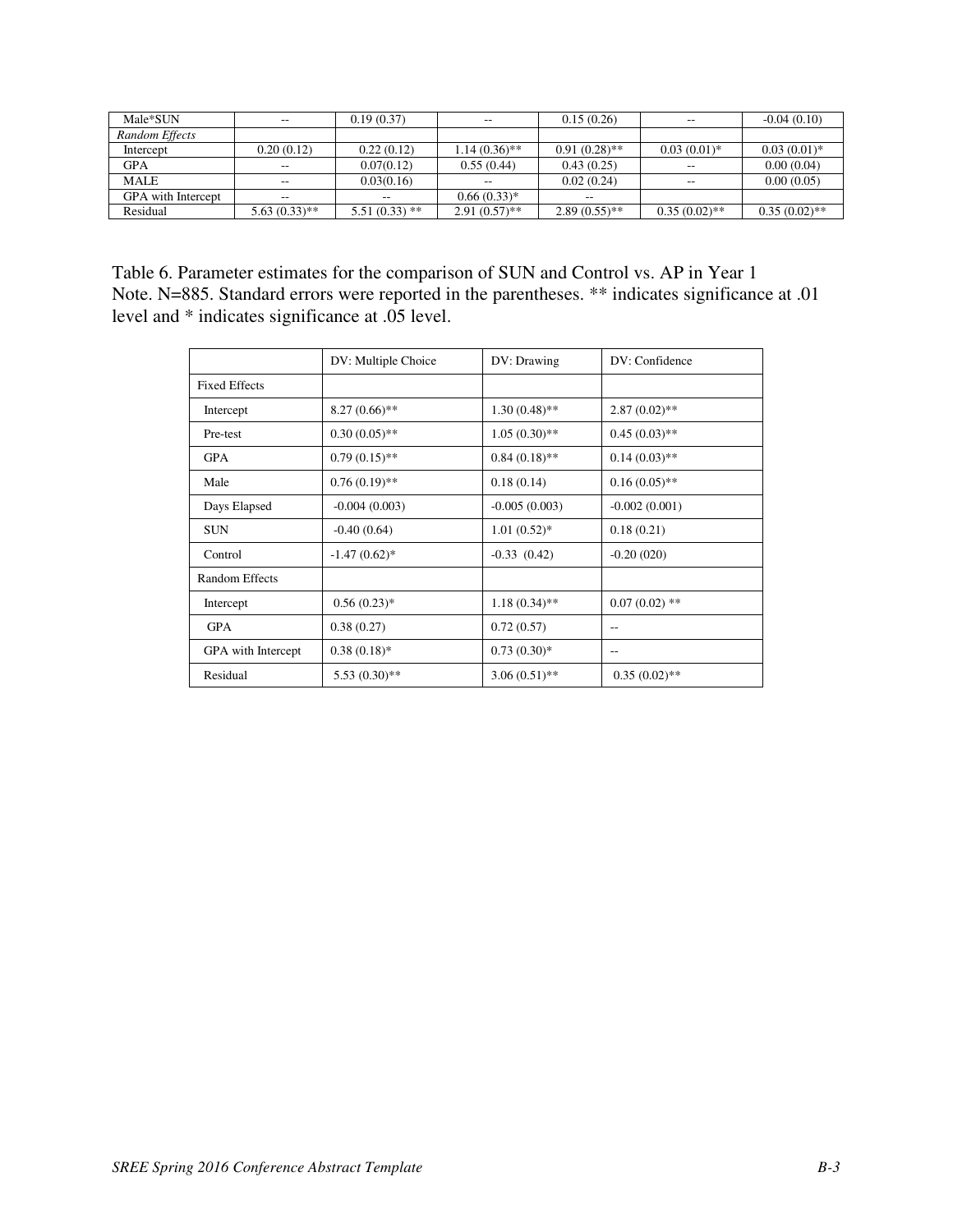| Male*SUN                  | $\sim$ $\sim$   | 0.19(0.37)      | $\overline{\phantom{m}}$ | 0.15(0.26)      | --              | $-0.04(0.10)$   |
|---------------------------|-----------------|-----------------|--------------------------|-----------------|-----------------|-----------------|
| Random Effects            |                 |                 |                          |                 |                 |                 |
| Intercept                 | 0.20(0.12)      | 0.22(0.12)      | $1.14(0.36)$ **          | $0.91(0.28)$ ** | $0.03(0.01)^*$  | $0.03(0.01)*$   |
| <b>GPA</b>                | $\sim$ $\sim$   | 0.07(0.12)      | 0.55(0.44)               | 0.43(0.25)      | --              | 0.00(0.04)      |
| MALE                      | $\sim$ $\sim$   | 0.03(0.16)      | $-$                      | 0.02(0.24)      | --              | 0.00(0.05)      |
| <b>GPA</b> with Intercept | $\sim$          | $-$             | $0.66(0.33)*$            | $-$             |                 |                 |
| Residual                  | $5.63(0.33)$ ** | $5.51(0.33)$ ** | $2.91(0.57)$ **          | $2.89(0.55)$ ** | $0.35(0.02)$ ** | $0.35(0.02)$ ** |

Table 6. Parameter estimates for the comparison of SUN and Control vs. AP in Year 1 Note. N=885. Standard errors were reported in the parentheses. \*\* indicates significance at .01 level and \* indicates significance at .05 level.

|                       | DV: Multiple Choice | DV: Drawing     | DV: Confidence  |
|-----------------------|---------------------|-----------------|-----------------|
| <b>Fixed Effects</b>  |                     |                 |                 |
| Intercept             | $8.27(0.66)$ **     | $1.30(0.48)$ ** | $2.87(0.02)$ ** |
| Pre-test              | $0.30(0.05)$ **     | $1.05(0.30)$ ** | $0.45(0.03)$ ** |
| <b>GPA</b>            | $0.79(0.15)$ **     | $0.84(0.18)$ ** | $0.14(0.03)$ ** |
| Male                  | $0.76(0.19)$ **     | 0.18(0.14)      | $0.16(0.05)$ ** |
| Days Elapsed          | $-0.004(0.003)$     | $-0.005(0.003)$ | $-0.002(0.001)$ |
| <b>SUN</b>            | $-0.40(0.64)$       | $1.01(0.52)$ *  | 0.18(0.21)      |
| Control               | $-1.47(0.62)$ *     | $-0.33(0.42)$   | $-0.20(020)$    |
| <b>Random Effects</b> |                     |                 |                 |
| Intercept             | $0.56(0.23)*$       | $1.18(0.34)$ ** | $0.07(0.02)$ ** |
| <b>GPA</b>            | 0.38(0.27)          | 0.72(0.57)      | $-$             |
| GPA with Intercept    | $0.38(0.18)$ *      | $0.73(0.30)*$   | $-$             |
| Residual              | $5.53(0.30)$ **     | $3.06(0.51)$ ** | $0.35(0.02)$ ** |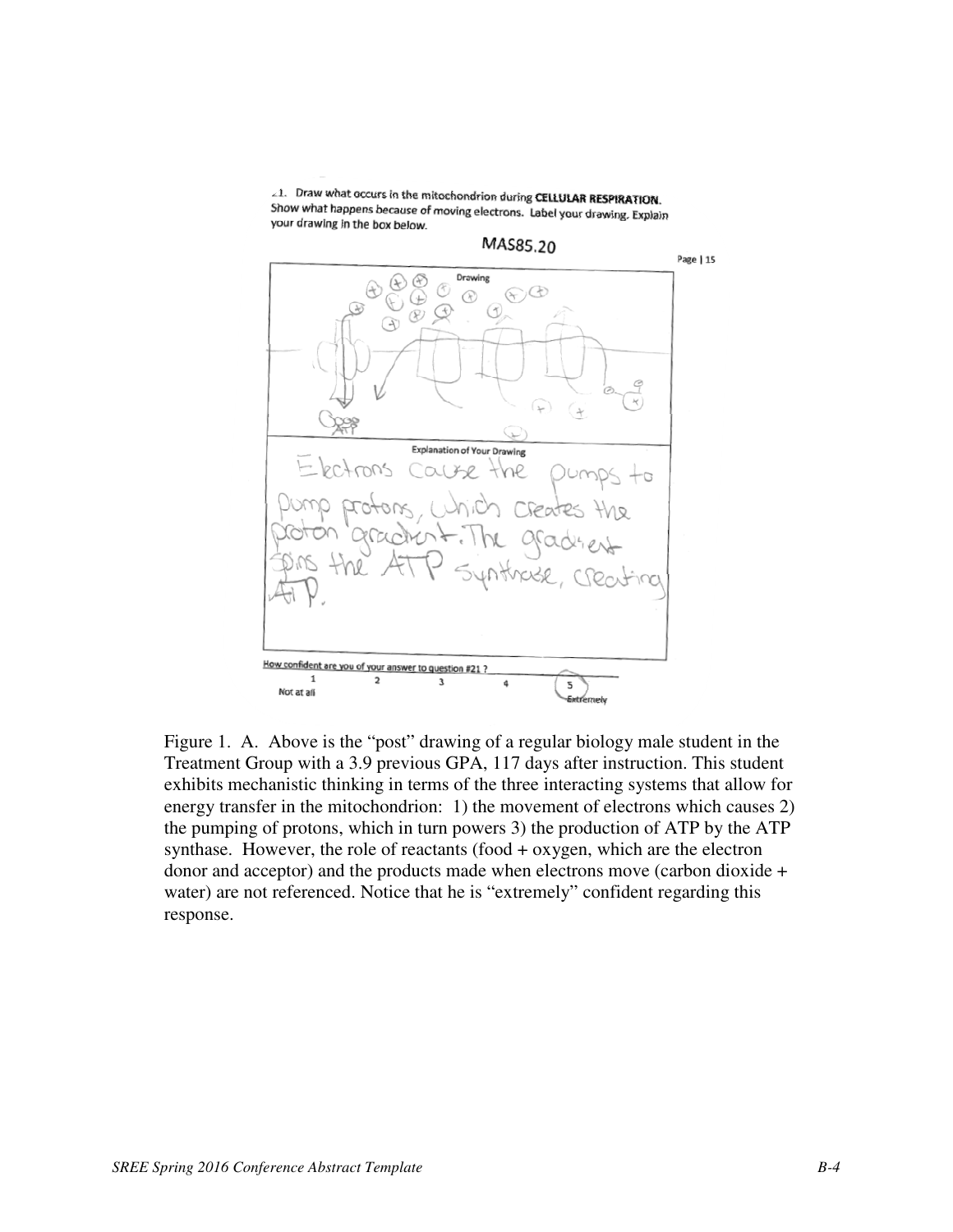∠1. Draw what occurs in the mitochondrion during CELLULAR RESPIRATION. Show what happens because of moving electrons. Label your drawing. Explain your drawing in the box below.



Figure 1. A. Above is the "post" drawing of a regular biology male student in the Treatment Group with a 3.9 previous GPA, 117 days after instruction. This student exhibits mechanistic thinking in terms of the three interacting systems that allow for energy transfer in the mitochondrion: 1) the movement of electrons which causes 2) the pumping of protons, which in turn powers 3) the production of ATP by the ATP synthase. However, the role of reactants (food + oxygen, which are the electron donor and acceptor) and the products made when electrons move (carbon dioxide + water) are not referenced. Notice that he is "extremely" confident regarding this response.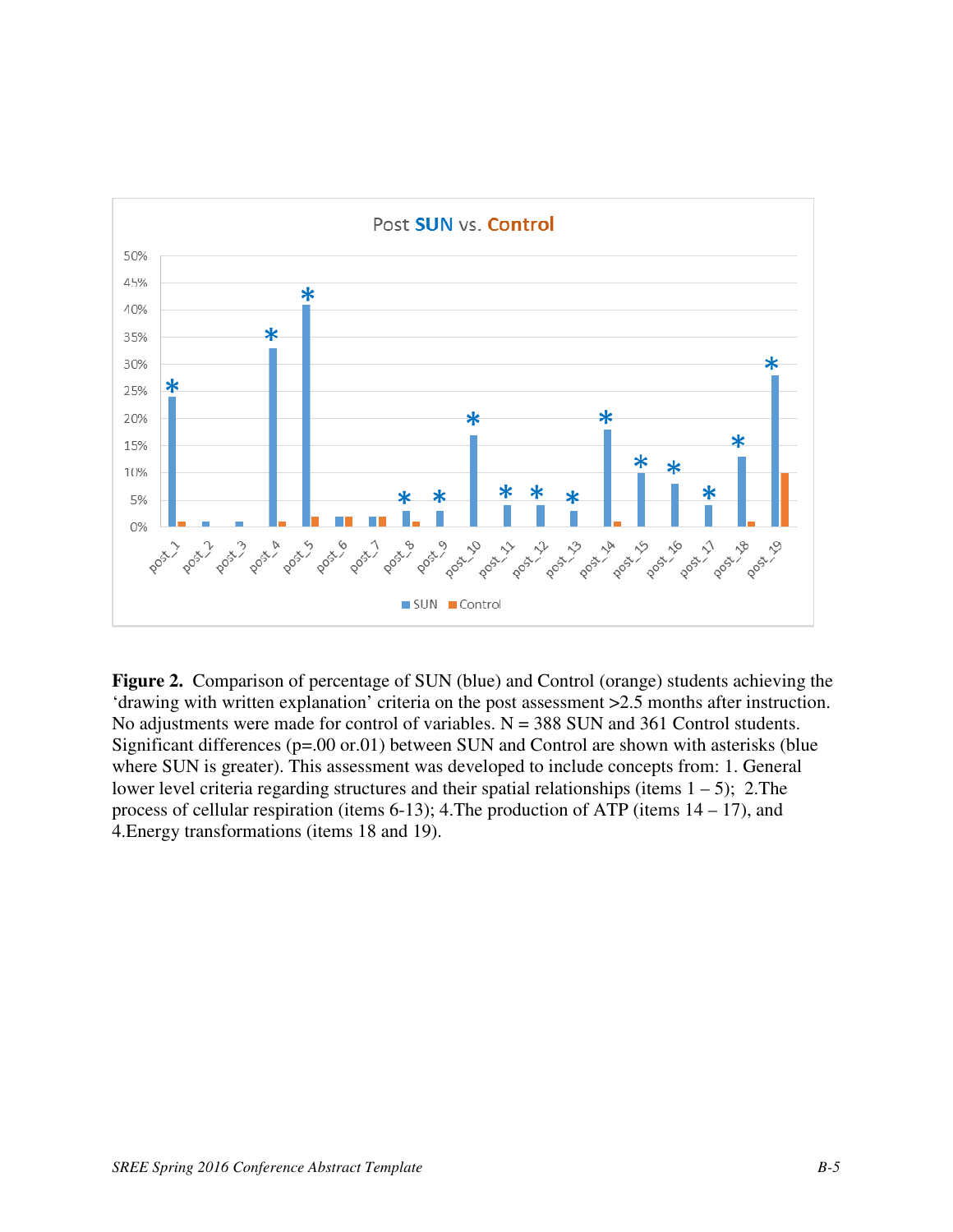

**Figure 2.** Comparison of percentage of SUN (blue) and Control (orange) students achieving the 'drawing with written explanation' criteria on the post assessment >2.5 months after instruction. No adjustments were made for control of variables.  $N = 388$  SUN and 361 Control students. Significant differences (p=.00 or.01) between SUN and Control are shown with asterisks (blue where SUN is greater). This assessment was developed to include concepts from: 1. General lower level criteria regarding structures and their spatial relationships (items  $1 - 5$ ); 2. The process of cellular respiration (items 6-13); 4.The production of ATP (items 14 – 17), and 4.Energy transformations (items 18 and 19).